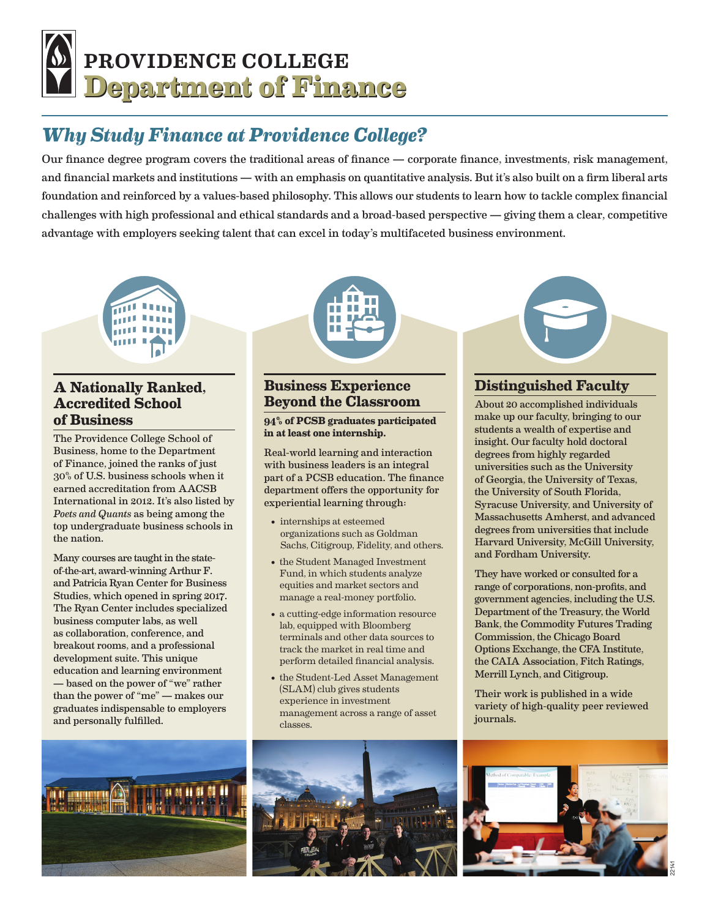# **Department of Finance Department of Finance** PROVIDENCE COLLEGE

## *Why Study Finance at Providence College?*

Our finance degree program covers the traditional areas of finance — corporate finance, investments, risk management, and financial markets and institutions — with an emphasis on quantitative analysis. But it's also built on a firm liberal arts foundation and reinforced by a values-based philosophy. This allows our students to learn how to tackle complex financial challenges with high professional and ethical standards and a broad-based perspective — giving them a clear, competitive advantage with employers seeking talent that can excel in today's multifaceted business environment.



#### **A Nationally Ranked, Accredited School of Business**

The Providence College School of Business, home to the Department of Finance, joined the ranks of just 30% of U.S. business schools when it earned accreditation from AACSB International in 2012. It's also listed by *Poets and Quants* as being among the top undergraduate business schools in the nation.

Many courses are taught in the stateof-the-art, award-winning Arthur F. and Patricia Ryan Center for Business Studies, which opened in spring 2017. The Ryan Center includes specialized business computer labs, as well as collaboration, conference, and breakout rooms, and a professional development suite. This unique education and learning environment — based on the power of "we" rather than the power of "me" — makes our graduates indispensable to employers and personally fulfilled.



#### **Business Experience Beyond the Classroom**

#### **94% of PCSB graduates participated in at least one internship.**

Real-world learning and interaction with business leaders is an integral part of a PCSB education. The finance department offers the opportunity for experiential learning through:

- internships at esteemed organizations such as Goldman Sachs, Citigroup, Fidelity, and others.
- the Student Managed Investment Fund, in which students analyze equities and market sectors and manage a real-money portfolio.
- a cutting-edge information resource lab, equipped with Bloomberg terminals and other data sources to track the market in real time and perform detailed financial analysis.
- the Student-Led Asset Management (SLAM) club gives students experience in investment management across a range of asset classes.



#### **Distinguished Faculty**

About 20 accomplished individuals make up our faculty, bringing to our students a wealth of expertise and insight. Our faculty hold doctoral degrees from highly regarded universities such as the University of Georgia, the University of Texas, the University of South Florida, Syracuse University, and University of Massachusetts Amherst, and advanced degrees from universities that include Harvard University, McGill University, and Fordham University.

They have worked or consulted for a range of corporations, non-profits, and government agencies, including the U.S. Department of the Treasury, the World Bank, the Commodity Futures Trading Commission, the Chicago Board Options Exchange, the CFA Institute, the CAIA Association, Fitch Ratings, Merrill Lynch, and Citigroup.

Their work is published in a wide variety of high-quality peer reviewed journals.